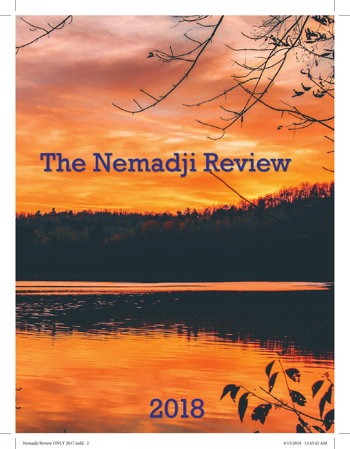## **The Nemadji Review**

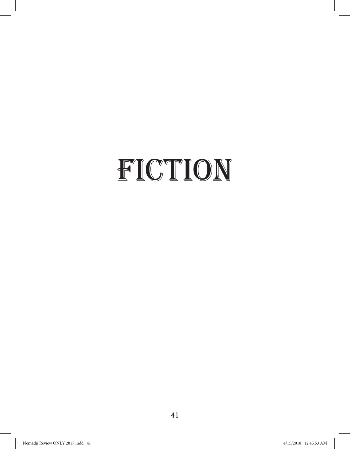## FICTION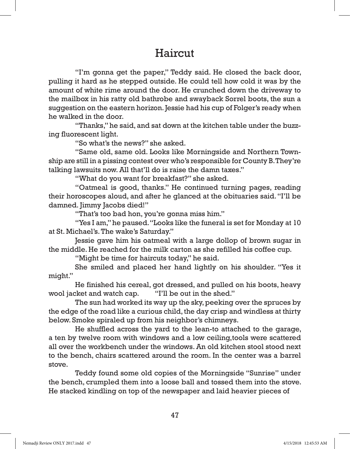## **Haircut**

"I'm gonna get the paper," Teddy said. He closed the back door, pulling it hard as he stepped outside. He could tell how cold it was by the amount of white rime around the door. He crunched down the driveway to the mailbox in his ratty old bathrobe and swayback Sorrel boots, the sun a suggestion on the eastern horizon. Jessie had his cup of Folger's ready when he walked in the door.

 "Thanks," he said, and sat down at the kitchen table under the buzzing fluorescent light.

"So what's the news?" she asked.

 "Same old, same old. Looks like Morningside and Northern Township are still in a pissing contest over who's responsible for County B. They're talking lawsuits now. All that'll do is raise the damn taxes."

"What do you want for breakfast?" she asked.

 "Oatmeal is good, thanks." He continued turning pages, reading their horoscopes aloud, and after he glanced at the obituaries said. "I'll be damned. Jimmy Jacobs died!"

"That's too bad hon, you're gonna miss him."

 "Yes I am," he paused. "Looks like the funeral is set for Monday at 10 at St. Michael's. The wake's Saturday."

 Jessie gave him his oatmeal with a large dollop of brown sugar in the middle. He reached for the milk carton as she refilled his coffee cup.

"Might be time for haircuts today," he said.

 She smiled and placed her hand lightly on his shoulder. "Yes it might."

 He finished his cereal, got dressed, and pulled on his boots, heavy wool jacket and watch cap. "I'll be out in the shed."

 The sun had worked its way up the sky, peeking over the spruces by the edge of the road like a curious child, the day crisp and windless at thirty below. Smoke spiraled up from his neighbor's chimneys.

 He shuffled across the yard to the lean-to attached to the garage, a ten by twelve room with windows and a low ceiling,tools were scattered all over the workbench under the windows. An old kitchen stool stood next to the bench, chairs scattered around the room. In the center was a barrel stove.

Teddy found some old copies of the Morningside "Sunrise" under the bench, crumpled them into a loose ball and tossed them into the stove. He stacked kindling on top of the newspaper and laid heavier pieces of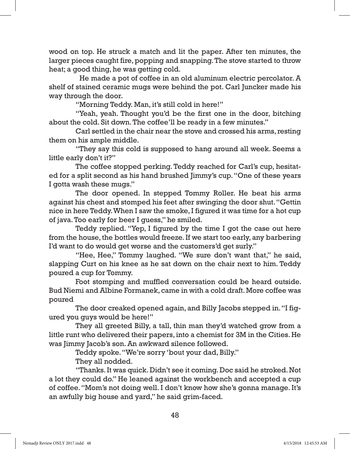wood on top. He struck a match and lit the paper. After ten minutes, the larger pieces caught fire, popping and snapping. The stove started to throw heat; a good thing, he was getting cold.

 He made a pot of coffee in an old aluminum electric percolator. A shelf of stained ceramic mugs were behind the pot. Carl Juncker made his way through the door.

"Morning Teddy. Man, it's still cold in here!"

 "Yeah, yeah. Thought you'd be the first one in the door, bitching about the cold. Sit down. The coffee'll be ready in a few minutes."

 Carl settled in the chair near the stove and crossed his arms, resting them on his ample middle.

 "They say this cold is supposed to hang around all week. Seems a little early don't it?"

 The coffee stopped perking. Teddy reached for Carl's cup, hesitated for a split second as his hand brushed Jimmy's cup. "One of these years I gotta wash these mugs."

 The door opened. In stepped Tommy Roller. He beat his arms against his chest and stomped his feet after swinging the door shut. "Gettin nice in here Teddy. When I saw the smoke, I figured it was time for a hot cup of java. Too early for beer I guess," he smiled.

 Teddy replied. "Yep, I figured by the time I got the case out here from the house, the bottles would freeze. If we start too early, any barbering I'd want to do would get worse and the customers'd get surly."

 "Hee, Hee," Tommy laughed. "We sure don't want that," he said, slapping Curt on his knee as he sat down on the chair next to him. Teddy poured a cup for Tommy.

 Foot stomping and muffled conversation could be heard outside. Bud Niemi and Albine Formanek, came in with a cold draft. More coffee was poured

 The door creaked opened again, and Billy Jacobs stepped in. "I figured you guys would be here!"

 They all greeted Billy, a tall, thin man they'd watched grow from a little runt who delivered their papers, into a chemist for 3M in the Cities. He was Jimmy Jacob's son. An awkward silence followed.

Teddy spoke. "We're sorry 'bout your dad, Billy."

They all nodded.

 "Thanks. It was quick. Didn't see it coming. Doc said he stroked. Not a lot they could do." He leaned against the workbench and accepted a cup of coffee. "Mom's not doing well. I don't know how she's gonna manage. It's an awfully big house and yard," he said grim-faced.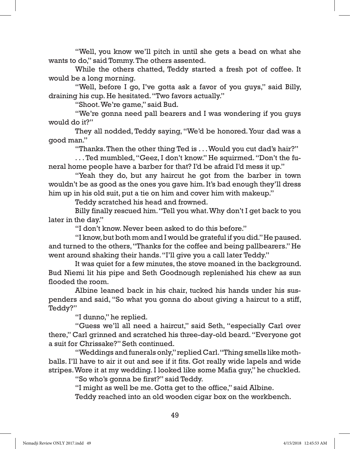"Well, you know we'll pitch in until she gets a bead on what she wants to do," said Tommy. The others assented.

 While the others chatted, Teddy started a fresh pot of coffee. It would be a long morning.

"Well, before I go, I've gotta ask a favor of you guys," said Billy, draining his cup. He hesitated. "Two favors actually."

"Shoot. We're game," said Bud.

 "We're gonna need pall bearers and I was wondering if you guys would do it?"

 They all nodded, Teddy saying, "We'd be honored. Your dad was a good man."

"Thanks. Then the other thing Ted is . . . Would you cut dad's hair?"

 . . . Ted mumbled, "Geez, I don't know." He squirmed. "Don't the funeral home people have a barber for that? I'd be afraid I'd mess it up."

 "Yeah they do, but any haircut he got from the barber in town wouldn't be as good as the ones you gave him. It's bad enough they'll dress him up in his old suit, put a tie on him and cover him with makeup."

Teddy scratched his head and frowned.

 Billy finally rescued him. "Tell you what. Why don't I get back to you later in the day."

"I don't know. Never been asked to do this before."

 "I know, but both mom and I would be grateful if you did." He paused. and turned to the others, "Thanks for the coffee and being pallbearers." He went around shaking their hands. "I'll give you a call later Teddy."

 It was quiet for a few minutes, the stove moaned in the background. Bud Niemi lit his pipe and Seth Goodnough replenished his chew as sun flooded the room.

 Albine leaned back in his chair, tucked his hands under his suspenders and said, "So what you gonna do about giving a haircut to a stiff, Teddy?"

"I dunno," he replied.

 "Guess we'll all need a haircut," said Seth, "especially Carl over there," Carl grinned and scratched his three-day-old beard. "Everyone got a suit for Chrissake?" Seth continued.

 "Weddings and funerals only," replied Carl. "Thing smells like mothballs. I'll have to air it out and see if it fits. Got really wide lapels and wide stripes. Wore it at my wedding. I looked like some Mafia guy," he chuckled.

"So who's gonna be first?" said Teddy.

"I might as well be me. Gotta get to the office," said Albine.

Teddy reached into an old wooden cigar box on the workbench.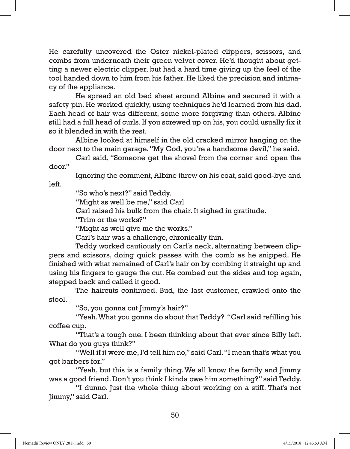He carefully uncovered the Oster nickel-plated clippers, scissors, and combs from underneath their green velvet cover. He'd thought about getting a newer electric clipper, but had a hard time giving up the feel of the tool handed down to him from his father. He liked the precision and intimacy of the appliance.

 He spread an old bed sheet around Albine and secured it with a safety pin. He worked quickly, using techniques he'd learned from his dad. Each head of hair was different, some more forgiving than others. Albine still had a full head of curls. If you screwed up on his, you could usually fix it so it blended in with the rest.

 Albine looked at himself in the old cracked mirror hanging on the door next to the main garage. "My God, you're a handsome devil," he said.

 Carl said, "Someone get the shovel from the corner and open the door."

 Ignoring the comment, Albine threw on his coat, said good-bye and left.

"So who's next?" said Teddy.

"Might as well be me," said Carl

Carl raised his bulk from the chair. It sighed in gratitude.

"Trim or the works?"

"Might as well give me the works."

Carl's hair was a challenge, chronically thin.

 Teddy worked cautiously on Carl's neck, alternating between clippers and scissors, doing quick passes with the comb as he snipped. He finished with what remained of Carl's hair on by combing it straight up and using his fingers to gauge the cut. He combed out the sides and top again, stepped back and called it good.

 The haircuts continued. Bud, the last customer, crawled onto the stool.

"So, you gonna cut Jimmy's hair?"

 "Yeah. What you gonna do about that Teddy? "Carl said refilling his coffee cup.

 "That's a tough one. I been thinking about that ever since Billy left. What do you guys think?"

 "Well if it were me, I'd tell him no," said Carl. "I mean that's what you got barbers for."

 "Yeah, but this is a family thing. We all know the family and Jimmy was a good friend. Don't you think I kinda owe him something?" said Teddy.

 "I dunno. Just the whole thing about working on a stiff. That's not Jimmy," said Carl.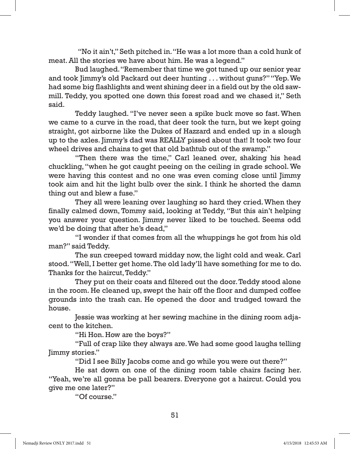"No it ain't," Seth pitched in. "He was a lot more than a cold hunk of meat. All the stories we have about him. He was a legend."

 Bud laughed. "Remember that time we got tuned up our senior year and took Jimmy's old Packard out deer hunting . . . without guns?" "Yep. We had some big flashlights and went shining deer in a field out by the old sawmill. Teddy, you spotted one down this forest road and we chased it," Seth said.

 Teddy laughed. "I've never seen a spike buck move so fast. When we came to a curve in the road, that deer took the turn, but we kept going straight, got airborne like the Dukes of Hazzard and ended up in a slough up to the axles. Jimmy's dad was REALLY pissed about that! It took two four wheel drives and chains to get that old bathtub out of the swamp."

 "Then there was the time," Carl leaned over, shaking his head chuckling, "when he got caught peeing on the ceiling in grade school. We were having this contest and no one was even coming close until Jimmy took aim and hit the light bulb over the sink. I think he shorted the damn thing out and blew a fuse."

 They all were leaning over laughing so hard they cried. When they finally calmed down, Tommy said, looking at Teddy, "But this ain't helping you answer your question. Jimmy never liked to be touched. Seems odd we'd be doing that after he's dead,"

 "I wonder if that comes from all the whuppings he got from his old man?" said Teddy.

 The sun creeped toward midday now, the light cold and weak. Carl stood. "Well, I better get home. The old lady'll have something for me to do. Thanks for the haircut, Teddy."

 They put on their coats and filtered out the door. Teddy stood alone in the room. He cleaned up, swept the hair off the floor and dumped coffee grounds into the trash can. He opened the door and trudged toward the house.

 Jessie was working at her sewing machine in the dining room adjacent to the kitchen.

"Hi Hon. How are the boys?"

 "Full of crap like they always are. We had some good laughs telling Jimmy stories."

"Did I see Billy Jacobs come and go while you were out there?"

 He sat down on one of the dining room table chairs facing her. "Yeah, we're all gonna be pall bearers. Everyone got a haircut. Could you give me one later?"

"Of course."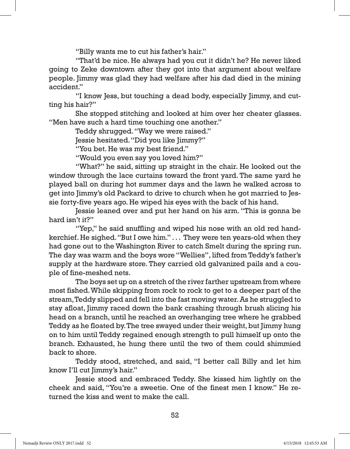"Billy wants me to cut his father's hair."

 "That'd be nice. He always had you cut it didn't he? He never liked going to Zeke downtown after they got into that argument about welfare people. Jimmy was glad they had welfare after his dad died in the mining accident."

 "I know Jess, but touching a dead body, especially Jimmy, and cutting his hair?"

 She stopped stitching and looked at him over her cheater glasses. "Men have such a hard time touching one another."

Teddy shrugged. "Way we were raised."

Jessie hesitated. "Did you like Jimmy?"

"You bet. He was my best friend."

"Would you even say you loved him?"

 "What?" he said, sitting up straight in the chair. He looked out the window through the lace curtains toward the front yard. The same yard he played ball on during hot summer days and the lawn he walked across to get into Jimmy's old Packard to drive to church when he got married to Jessie forty-five years ago. He wiped his eyes with the back of his hand.

 Jessie leaned over and put her hand on his arm. "This is gonna be hard isn't it?"

 "Yep," he said snuffling and wiped his nose with an old red handkerchief. He sighed. "But I owe him." . . . They were ten years-old when they had gone out to the Washington River to catch Smelt during the spring run. The day was warm and the boys wore "Wellies", lifted from Teddy's father's supply at the hardware store. They carried old galvanized pails and a couple of fine-meshed nets.

 The boys set up on a stretch of the river farther upstream from where most fished. While skipping from rock to rock to get to a deeper part of the stream, Teddy slipped and fell into the fast moving water. As he struggled to stay afloat, Jimmy raced down the bank crashing through brush slicing his head on a branch, until he reached an overhanging tree where he grabbed Teddy as he floated by. The tree swayed under their weight, but Jimmy hung on to him until Teddy regained enough strength to pull himself up onto the branch. Exhausted, he hung there until the two of them could shimmied back to shore.

 Teddy stood, stretched, and said, "I better call Billy and let him know I'll cut Jimmy's hair."

 Jessie stood and embraced Teddy. She kissed him lightly on the cheek and said, "You're a sweetie. One of the finest men I know." He returned the kiss and went to make the call.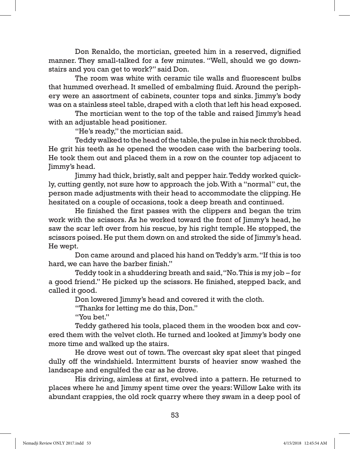Don Renaldo, the mortician, greeted him in a reserved, dignified manner. They small-talked for a few minutes. "Well, should we go downstairs and you can get to work?" said Don.

 The room was white with ceramic tile walls and fluorescent bulbs that hummed overhead. It smelled of embalming fluid. Around the periphery were an assortment of cabinets, counter tops and sinks. Jimmy's body was on a stainless steel table, draped with a cloth that left his head exposed.

The mortician went to the top of the table and raised Jimmy's head with an adjustable head positioner.

"He's ready," the mortician said.

 Teddy walked to the head of the table, the pulse in his neck throbbed. He grit his teeth as he opened the wooden case with the barbering tools. He took them out and placed them in a row on the counter top adjacent to Jimmy's head.

 Jimmy had thick, bristly, salt and pepper hair. Teddy worked quickly, cutting gently, not sure how to approach the job. With a "normal" cut, the person made adjustments with their head to accommodate the clipping. He hesitated on a couple of occasions, took a deep breath and continued.

 He finished the first passes with the clippers and began the trim work with the scissors. As he worked toward the front of Jimmy's head, he saw the scar left over from his rescue, by his right temple. He stopped, the scissors poised. He put them down on and stroked the side of Jimmy's head. He wept.

 Don came around and placed his hand on Teddy's arm. "If this is too hard, we can have the barber finish."

 Teddy took in a shuddering breath and said, "No. This is my job – for a good friend." He picked up the scissors. He finished, stepped back, and called it good.

Don lowered Jimmy's head and covered it with the cloth.

"Thanks for letting me do this, Don."

"You bet."

 Teddy gathered his tools, placed them in the wooden box and covered them with the velvet cloth. He turned and looked at Jimmy's body one more time and walked up the stairs.

 He drove west out of town. The overcast sky spat sleet that pinged dully off the windshield. Intermittent bursts of heavier snow washed the landscape and engulfed the car as he drove.

 His driving, aimless at first, evolved into a pattern. He returned to places where he and Jimmy spent time over the years: Willow Lake with its abundant crappies, the old rock quarry where they swam in a deep pool of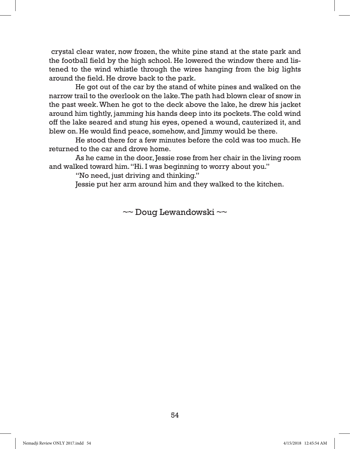crystal clear water, now frozen, the white pine stand at the state park and the football field by the high school. He lowered the window there and listened to the wind whistle through the wires hanging from the big lights around the field. He drove back to the park.

 He got out of the car by the stand of white pines and walked on the narrow trail to the overlook on the lake. The path had blown clear of snow in the past week. When he got to the deck above the lake, he drew his jacket around him tightly, jamming his hands deep into its pockets. The cold wind off the lake seared and stung his eyes, opened a wound, cauterized it, and blew on. He would find peace, somehow, and Jimmy would be there.

 He stood there for a few minutes before the cold was too much. He returned to the car and drove home.

 As he came in the door, Jessie rose from her chair in the living room and walked toward him. "Hi. I was beginning to worry about you."

"No need, just driving and thinking."

Jessie put her arm around him and they walked to the kitchen.

~~ Doug Lewandowski ~~